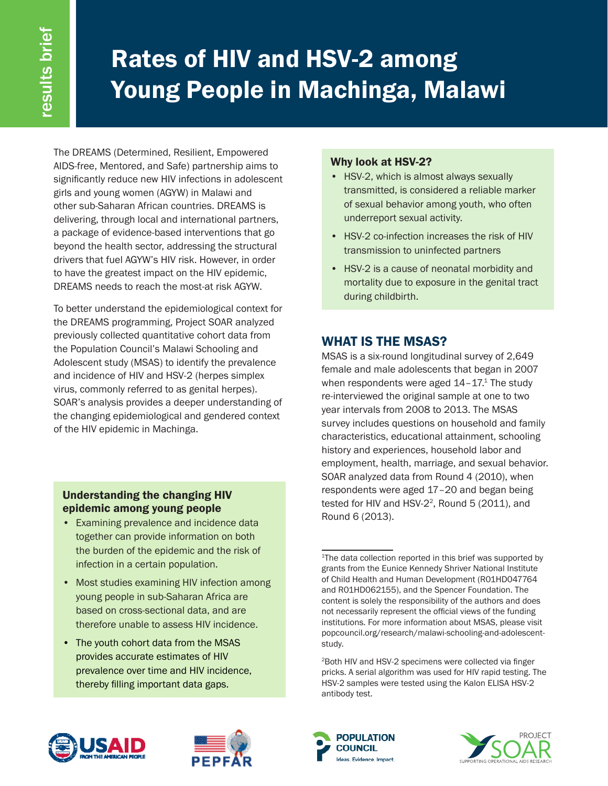# Rates of HIV and HSV-2 among Young People in Machinga, Malawi

The DREAMS (Determined, Resilient, Empowered AIDS-free, Mentored, and Safe) partnership aims to significantly reduce new HIV infections in adolescent girls and young women (AGYW) in Malawi and other sub-Saharan African countries. DREAMS is delivering, through local and international partners, a package of evidence-based interventions that go beyond the health sector, addressing the structural drivers that fuel AGYW's HIV risk. However, in order to have the greatest impact on the HIV epidemic, DREAMS needs to reach the most-at risk AGYW.

To better understand the epidemiological context for the DREAMS programming, Project SOAR analyzed previously collected quantitative cohort data from the Population Council's Malawi Schooling and Adolescent study (MSAS) to identify the prevalence and incidence of HIV and HSV-2 (herpes simplex virus, commonly referred to as genital herpes). SOAR's analysis provides a deeper understanding of the changing epidemiological and gendered context of the HIV epidemic in Machinga.

## Understanding the changing HIV epidemic among young people

- Examining prevalence and incidence data together can provide information on both the burden of the epidemic and the risk of infection in a certain population.
- Most studies examining HIV infection among young people in sub-Saharan Africa are based on cross-sectional data, and are therefore unable to assess HIV incidence.
- The youth cohort data from the MSAS provides accurate estimates of HIV prevalence over time and HIV incidence, thereby filling important data gaps.

## Why look at HSV-2?

- HSV-2, which is almost always sexually transmitted, is considered a reliable marker of sexual behavior among youth, who often underreport sexual activity.
- HSV-2 co-infection increases the risk of HIV transmission to uninfected partners
- HSV-2 is a cause of neonatal morbidity and mortality due to exposure in the genital tract during childbirth.

## WHAT IS THE MSAS?

MSAS is a six-round longitudinal survey of 2,649 female and male adolescents that began in 2007 when respondents were aged  $14-17$ .<sup>1</sup> The study re-interviewed the original sample at one to two year intervals from 2008 to 2013. The MSAS survey includes questions on household and family characteristics, educational attainment, schooling history and experiences, household labor and employment, health, marriage, and sexual behavior. SOAR analyzed data from Round 4 (2010), when respondents were aged 17–20 and began being tested for HIV and HSV-2<sup>2</sup>, Round 5 (2011), and Round 6 (2013).









<sup>&</sup>lt;sup>1</sup>The data collection reported in this brief was supported by grants from the Eunice Kennedy Shriver National Institute of Child Health and Human Development (R01HD047764 and R01HD062155), and the Spencer Foundation. The content is solely the responsibility of the authors and does not necessarily represent the official views of the funding institutions. For more information about MSAS, please visit popcouncil.org/research/malawi-schooling-and-adolescentstudy.

<sup>2</sup>Both HIV and HSV-2 specimens were collected via finger pricks. A serial algorithm was used for HIV rapid testing. The HSV-2 samples were tested using the Kalon ELISA HSV-2 antibody test.